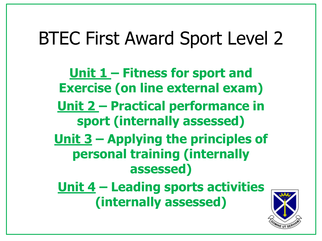#### BTEC First Award Sport Level 2

**Unit 1 – Fitness for sport and Exercise (on line external exam) Unit 2 – Practical performance in sport (internally assessed) Unit 3 – Applying the principles of personal training (internally assessed)**

**Unit 4 – Leading sports activities (internally assessed)**

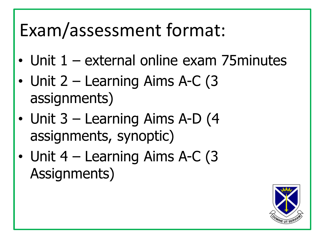#### Exam/assessment format:

- Unit 1 external online exam 75 minutes
- Unit 2 Learning Aims A-C (3) assignments)
- Unit 3 Learning Aims A-D (4) assignments, synoptic)
- Unit 4 Learning Aims A-C (3 Assignments)

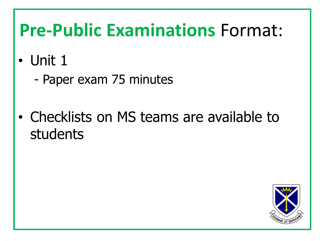#### **Pre-Public Examinations** Format:

- Unit 1
	- Paper exam 75 minutes
- Checklists on MS teams are available to students

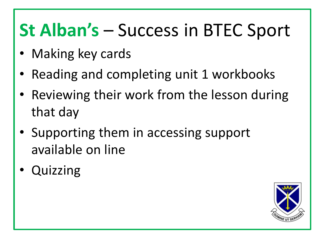# **St Alban's** – Success in BTEC Sport

- Making key cards
- Reading and completing unit 1 workbooks
- Reviewing their work from the lesson during that day
- Supporting them in accessing support available on line
- **Quizzing**

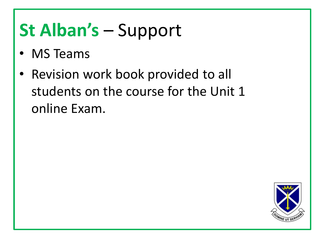# **St Alban's** – Support

- MS Teams
- Revision work book provided to all students on the course for the Unit 1 online Exam.